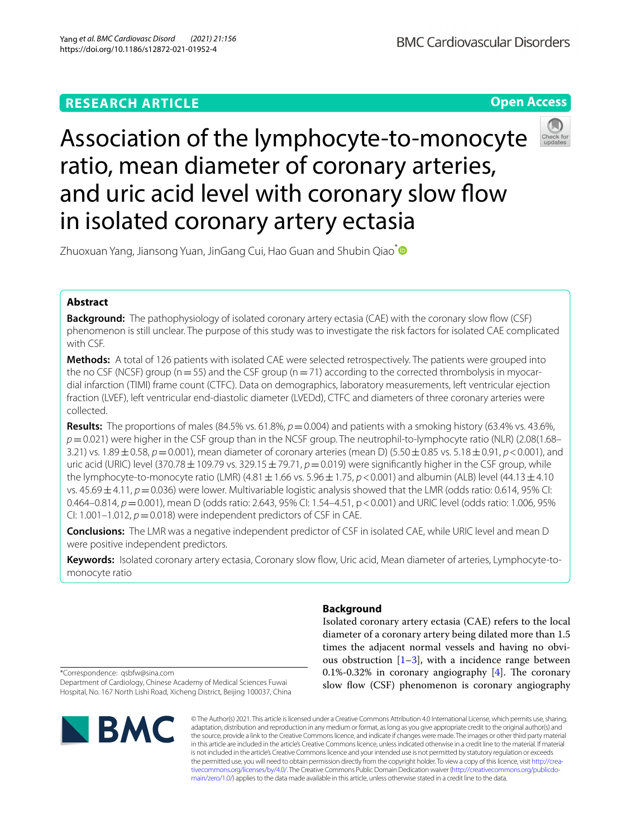# **RESEARCH ARTICLE**

**Open Access**

# Association of the lymphocyte-to-monocyte ratio, mean diameter of coronary arteries, and uric acid level with coronary slow flow in isolated coronary artery ectasia



Zhuoxuan Yang, Jiansong Yuan, JinGang Cui, Hao Guan and Shubin Qiao<sup>[\\*](http://orcid.org/0000-0002-2956-7233)</sup>

# **Abstract**

**Background:** The pathophysiology of isolated coronary artery ectasia (CAE) with the coronary slow flow (CSF) phenomenon is still unclear. The purpose of this study was to investigate the risk factors for isolated CAE complicated with CSF.

**Methods:** A total of 126 patients with isolated CAE were selected retrospectively. The patients were grouped into the no CSF (NCSF) group ( $n=55$ ) and the CSF group ( $n=71$ ) according to the corrected thrombolysis in myocardial infarction (TIMI) frame count (CTFC). Data on demographics, laboratory measurements, left ventricular ejection fraction (LVEF), left ventricular end-diastolic diameter (LVEDd), CTFC and diameters of three coronary arteries were collected.

**Results:** The proportions of males (84.5% vs. 61.8%,  $p = 0.004$ ) and patients with a smoking history (63.4% vs. 43.6%, *p*=0.021) were higher in the CSF group than in the NCSF group. The neutrophil-to-lymphocyte ratio (NLR) (2.08(1.68– 3.21) vs. 1.89±0.58, *p*=0.001), mean diameter of coronary arteries (mean D) (5.50±0.85 vs. 5.18±0.91, *p*<0.001), and uric acid (URIC) level (370.78 $\pm$ 109.79 vs. 329.15 $\pm$ 79.71,  $p=0.019$ ) were significantly higher in the CSF group, while the lymphocyte-to-monocyte ratio (LMR)  $(4.81 \pm 1.66 \text{ vs. } 5.96 \pm 1.75, p < 0.001)$  and albumin (ALB) level  $(44.13 \pm 4.10$ vs. 45.69 ± 4.11,  $p = 0.036$ ) were lower. Multivariable logistic analysis showed that the LMR (odds ratio: 0.614, 95% CI: 0.464–0.814,  $p = 0.001$ ), mean D (odds ratio: 2.643, 95% CI: 1.54–4.51, p < 0.001) and URIC level (odds ratio: 1.006, 95% CI: 1.001–1.012,  $p = 0.018$ ) were independent predictors of CSF in CAE.

**Conclusions:** The LMR was a negative independent predictor of CSF in isolated CAE, while URIC level and mean D were positive independent predictors.

**Keywords:** Isolated coronary artery ectasia, Coronary slow fow, Uric acid, Mean diameter of arteries, Lymphocyte-tomonocyte ratio

## **Background**

Isolated coronary artery ectasia (CAE) refers to the local diameter of a coronary artery being dilated more than 1.5 times the adjacent normal vessels and having no obvious obstruction  $[1-3]$  $[1-3]$ , with a incidence range between 0.1%-0.32% in coronary angiography  $[4]$  $[4]$ . The coronary slow flow (CSF) phenomenon is coronary angiography

\*Correspondence: qsbfw@sina.com

Department of Cardiology, Chinese Academy of Medical Sciences Fuwai Hospital, No. 167 North Lishi Road, Xicheng District, Beijing 100037, China



© The Author(s) 2021. This article is licensed under a Creative Commons Attribution 4.0 International License, which permits use, sharing, adaptation, distribution and reproduction in any medium or format, as long as you give appropriate credit to the original author(s) and the source, provide a link to the Creative Commons licence, and indicate if changes were made. The images or other third party material in this article are included in the article's Creative Commons licence, unless indicated otherwise in a credit line to the material. If material is not included in the article's Creative Commons licence and your intended use is not permitted by statutory regulation or exceeds the permitted use, you will need to obtain permission directly from the copyright holder. To view a copy of this licence, visit [http://crea](http://creativecommons.org/licenses/by/4.0/)[tivecommons.org/licenses/by/4.0/.](http://creativecommons.org/licenses/by/4.0/) The Creative Commons Public Domain Dedication waiver ([http://creativecommons.org/publicdo](http://creativecommons.org/publicdomain/zero/1.0/)[main/zero/1.0/\)](http://creativecommons.org/publicdomain/zero/1.0/) applies to the data made available in this article, unless otherwise stated in a credit line to the data.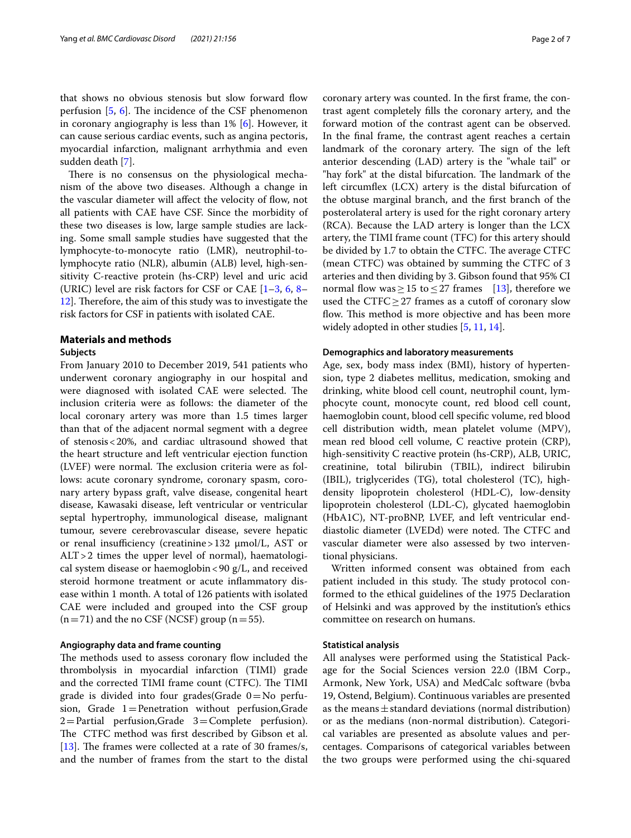that shows no obvious stenosis but slow forward flow perfusion  $[5, 6]$  $[5, 6]$  $[5, 6]$ . The incidence of the CSF phenomenon in coronary angiography is less than 1% [\[6](#page-5-4)]. However, it can cause serious cardiac events, such as angina pectoris, myocardial infarction, malignant arrhythmia and even sudden death [[7\]](#page-5-5).

There is no consensus on the physiological mechanism of the above two diseases. Although a change in the vascular diameter will affect the velocity of flow, not all patients with CAE have CSF. Since the morbidity of these two diseases is low, large sample studies are lacking. Some small sample studies have suggested that the lymphocyte-to-monocyte ratio (LMR), neutrophil-tolymphocyte ratio (NLR), albumin (ALB) level, high-sensitivity C-reactive protein (hs-CRP) level and uric acid (URIC) level are risk factors for CSF or CAE  $[1-3, 6, 8 [1-3, 6, 8 [1-3, 6, 8 [1-3, 6, 8 [1-3, 6, 8-$ 12. Therefore, the aim of this study was to investigate the risk factors for CSF in patients with isolated CAE.

## **Materials and methods**

## **Subjects**

From January 2010 to December 2019, 541 patients who underwent coronary angiography in our hospital and were diagnosed with isolated CAE were selected. The inclusion criteria were as follows: the diameter of the local coronary artery was more than 1.5 times larger than that of the adjacent normal segment with a degree of stenosis<20%, and cardiac ultrasound showed that the heart structure and left ventricular ejection function (LVEF) were normal. The exclusion criteria were as follows: acute coronary syndrome, coronary spasm, coronary artery bypass graft, valve disease, congenital heart disease, Kawasaki disease, left ventricular or ventricular septal hypertrophy, immunological disease, malignant tumour, severe cerebrovascular disease, severe hepatic or renal insufficiency (creatinine >  $132 \mu$ mol/L, AST or ALT>2 times the upper level of normal), haematological system disease or haemoglobin  $<90 \text{ g/L}$ , and received steroid hormone treatment or acute infammatory disease within 1 month. A total of 126 patients with isolated CAE were included and grouped into the CSF group  $(n=71)$  and the no CSF (NCSF) group  $(n=55)$ .

## **Angiography data and frame counting**

The methods used to assess coronary flow included the thrombolysis in myocardial infarction (TIMI) grade and the corrected TIMI frame count (CTFC). The TIMI grade is divided into four grades  $(G = No)$  perfusion, Grade  $1$ = Penetration without perfusion, Grade 2=Partial perfusion,Grade 3=Complete perfusion). The CTFC method was first described by Gibson et al. [[13\]](#page-6-0). The frames were collected at a rate of 30 frames/s, and the number of frames from the start to the distal coronary artery was counted. In the frst frame, the contrast agent completely flls the coronary artery, and the forward motion of the contrast agent can be observed. In the fnal frame, the contrast agent reaches a certain landmark of the coronary artery. The sign of the left anterior descending (LAD) artery is the "whale tail" or "hay fork" at the distal bifurcation. The landmark of the left circumfex (LCX) artery is the distal bifurcation of the obtuse marginal branch, and the frst branch of the posterolateral artery is used for the right coronary artery (RCA). Because the LAD artery is longer than the LCX artery, the TIMI frame count (TFC) for this artery should be divided by 1.7 to obtain the CTFC. The average CTFC (mean CTFC) was obtained by summing the CTFC of 3 arteries and then dividing by 3. Gibson found that 95% CI normal flow was ≥ 15 to ≤ 27 frames [\[13](#page-6-0)], therefore we used the CTFC $\geq$  27 frames as a cutoff of coronary slow flow. This method is more objective and has been more widely adopted in other studies [[5,](#page-5-3) [11,](#page-5-8) [14](#page-6-1)].

## **Demographics and laboratory measurements**

Age, sex, body mass index (BMI), history of hypertension, type 2 diabetes mellitus, medication, smoking and drinking, white blood cell count, neutrophil count, lymphocyte count, monocyte count, red blood cell count, haemoglobin count, blood cell specifc volume, red blood cell distribution width, mean platelet volume (MPV), mean red blood cell volume, C reactive protein (CRP), high-sensitivity C reactive protein (hs-CRP), ALB, URIC, creatinine, total bilirubin (TBIL), indirect bilirubin (IBIL), triglycerides (TG), total cholesterol (TC), highdensity lipoprotein cholesterol (HDL-C), low-density lipoprotein cholesterol (LDL-C), glycated haemoglobin (HbA1C), NT-proBNP, LVEF, and left ventricular enddiastolic diameter (LVEDd) were noted. The CTFC and vascular diameter were also assessed by two interventional physicians.

Written informed consent was obtained from each patient included in this study. The study protocol conformed to the ethical guidelines of the 1975 Declaration of Helsinki and was approved by the institution's ethics committee on research on humans.

## **Statistical analysis**

All analyses were performed using the Statistical Package for the Social Sciences version 22.0 (IBM Corp., Armonk, New York, USA) and MedCalc software (bvba 19, Ostend, Belgium). Continuous variables are presented as the means  $\pm$  standard deviations (normal distribution) or as the medians (non-normal distribution). Categorical variables are presented as absolute values and percentages. Comparisons of categorical variables between the two groups were performed using the chi-squared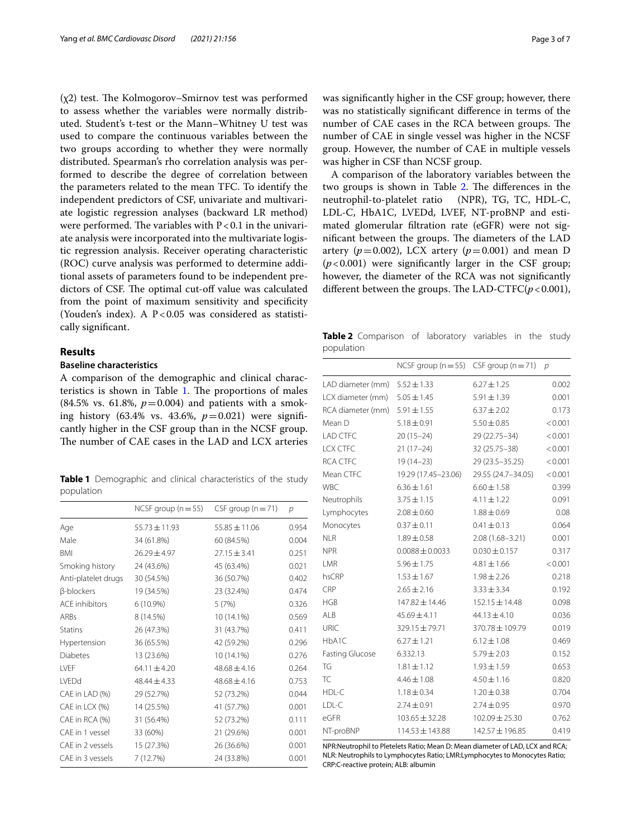$(\chi 2)$  test. The Kolmogorov–Smirnov test was performed to assess whether the variables were normally distributed. Student's t-test or the Mann–Whitney U test was used to compare the continuous variables between the two groups according to whether they were normally distributed. Spearman's rho correlation analysis was performed to describe the degree of correlation between the parameters related to the mean TFC. To identify the independent predictors of CSF, univariate and multivariate logistic regression analyses (backward LR method) were performed. The variables with  $P < 0.1$  in the univariate analysis were incorporated into the multivariate logistic regression analysis. Receiver operating characteristic (ROC) curve analysis was performed to determine additional assets of parameters found to be independent predictors of CSF. The optimal cut-off value was calculated from the point of maximum sensitivity and specifcity (Youden's index). A  $P < 0.05$  was considered as statistically signifcant.

## **Results**

## **Baseline characteristics**

A comparison of the demographic and clinical characteristics is shown in Table  $1$ . The proportions of males (84.5% vs. 61.8%,  $p = 0.004$ ) and patients with a smoking history (63.4% vs. 43.6%, *p*=0.021) were signifcantly higher in the CSF group than in the NCSF group. The number of CAE cases in the LAD and LCX arteries

<span id="page-2-0"></span>**Table 1** Demographic and clinical characteristics of the study population

|                          | NCSF group ( $n = 55$ ) | CSF group $(n=71)$ | $\mathcal{D}$ |
|--------------------------|-------------------------|--------------------|---------------|
| Age                      | $55.73 \pm 11.93$       | $55.85 \pm 11.06$  | 0.954         |
| Male                     | 34 (61.8%)              | 60 (84.5%)         | 0.004         |
| <b>BMI</b>               | $26.29 \pm 4.97$        | $27.15 \pm 3.41$   | 0.251         |
| Smoking history          | 24 (43.6%)              | 45 (63.4%)         | 0.021         |
| Anti-platelet drugs      | 30 (54.5%)              | 36 (50.7%)         | 0.402         |
| <b><i>B-blockers</i></b> | 19 (34.5%)              | 23 (32.4%)         | 0.474         |
| <b>ACE</b> inhibitors    | 6 (10.9%)               | 5(7%)              | 0.326         |
| <b>ARBs</b>              | 8 (14.5%)               | 10 (14.1%)         | 0.569         |
| <b>Statins</b>           | 26 (47.3%)              | 31 (43.7%)         | 0.411         |
| Hypertension             | 36 (65.5%)              | 42 (59.2%)         | 0.296         |
| <b>Diabetes</b>          | 13 (23.6%)              | 10 (14.1%)         | 0.276         |
| <b>IVFF</b>              | $64.11 \pm 4.20$        | $48.68 \pm 4.16$   | 0.264         |
| <b>IVFDd</b>             | $48.44 \pm 4.33$        | $48.68 \pm 4.16$   | 0.753         |
| CAE in LAD (%)           | 29 (52.7%)              | 52 (73.2%)         | 0.044         |
| CAE in LCX (%)           | 14 (25.5%)              | 41 (57.7%)         | 0.001         |
| CAE in RCA (%)           | 31 (56.4%)              | 52 (73.2%)         | 0.111         |
| CAE in 1 vessel          | 33 (60%)                | 21 (29.6%)         | 0.001         |
| CAE in 2 vessels         | 15 (27.3%)              | 26 (36.6%)         | 0.001         |
| CAF in 3 vessels         | 7 (12.7%)               | 24 (33.8%)         | 0.001         |

was signifcantly higher in the CSF group; however, there was no statistically signifcant diference in terms of the number of CAE cases in the RCA between groups. The number of CAE in single vessel was higher in the NCSF group. However, the number of CAE in multiple vessels was higher in CSF than NCSF group.

A comparison of the laboratory variables between the two groups is shown in Table  $2$ . The differences in the neutrophil-to-platelet ratio (NPR), TG, TC, HDL-C, LDL-C, HbA1C, LVEDd, LVEF, NT-proBNP and estimated glomerular fltration rate (eGFR) were not significant between the groups. The diameters of the LAD artery ( $p=0.002$ ), LCX artery ( $p=0.001$ ) and mean D  $(p<0.001)$  were significantly larger in the CSF group; however, the diameter of the RCA was not signifcantly different between the groups. The LAD-CTFC $(p < 0.001)$ ,

<span id="page-2-1"></span>**Table 2** Comparison of laboratory variables in the study population

|                        | NCSF group ( $n = 55$ ) CSF group ( $n = 71$ ) |                     | $\mathcal{D}$ |
|------------------------|------------------------------------------------|---------------------|---------------|
| LAD diameter (mm)      | $5.52 \pm 1.33$                                | $6.27 \pm 1.25$     | 0.002         |
| LCX diameter (mm)      | $5.05 \pm 1.45$                                | $5.91 \pm 1.39$     | 0.001         |
| RCA diameter (mm)      | $5.91 \pm 1.55$                                | $6.37 \pm 2.02$     | 0.173         |
| Mean D                 | $5.18 \pm 0.91$                                | $5.50 \pm 0.85$     | < 0.001       |
| <b>LAD CTFC</b>        | $20(15-24)$                                    | 29 (22.75-34)       | < 0.001       |
| LCX CTFC               | $21(17-24)$                                    | 32 (25.75 - 38)     | < 0.001       |
| <b>RCA CTFC</b>        | $19(14 - 23)$                                  | 29 (23.5 - 35.25)   | < 0.001       |
| Mean CTFC              | 19.29 (17.45-23.06)                            | 29.55 (24.7-34.05)  | < 0.001       |
| <b>WBC</b>             | $6.36 \pm 1.61$                                | $6.60 \pm 1.58$     | 0.399         |
| Neutrophils            | $3.75 \pm 1.15$                                | $4.11 \pm 1.22$     | 0.091         |
| Lymphocytes            | $2.08 \pm 0.60$                                | $1.88 \pm 0.69$     | 0.08          |
| Monocytes              | $0.37 \pm 0.11$                                | $0.41 \pm 0.13$     | 0.064         |
| <b>NLR</b>             | $1.89 \pm 0.58$                                | $2.08(1.68 - 3.21)$ | 0.001         |
| <b>NPR</b>             | $0.0088 \pm 0.0033$                            | $0.030 \pm 0.157$   | 0.317         |
| LMR                    | $5.96 \pm 1.75$                                | $4.81 \pm 1.66$     | < 0.001       |
| hsCRP                  | $1.53 \pm 1.67$                                | $1.98 \pm 2.26$     | 0.218         |
| CRP                    | $2.65 \pm 2.16$                                | $3.33 \pm 3.34$     | 0.192         |
| <b>HGB</b>             | 147.82 ± 14.46                                 | $152.15 \pm 14.48$  | 0.098         |
| ALB                    | $45.69 \pm 4.11$                               | $44.13 \pm 4.10$    | 0.036         |
| <b>URIC</b>            | 329.15 ± 79.71                                 | 370.78 ± 109.79     | 0.019         |
| HbA1C                  | $6.27 \pm 1.21$                                | $6.12 \pm 1.08$     | 0.469         |
| <b>Fasting Glucose</b> | 6.332.13                                       | $5.79 \pm 2.03$     | 0.152         |
| TG                     | $1.81 \pm 1.12$                                | $1.93 \pm 1.59$     | 0.653         |
| <b>TC</b>              | $4.46 \pm 1.08$                                | $4.50 \pm 1.16$     | 0.820         |
| HDL-C                  | $1.18 \pm 0.34$                                | $1.20 \pm 0.38$     | 0.704         |
| LDL-C                  | $2.74 \pm 0.91$                                | $2.74 \pm 0.95$     | 0.970         |
| eGFR                   | $103.65 \pm 32.28$                             | $102.09 \pm 25.30$  | 0.762         |
| NT-proBNP              | 114.53 ± 143.88                                | 142.57 ± 196.85     | 0.419         |

NPR:Neutrophil to Pletelets Ratio; Mean D: Mean diameter of LAD, LCX and RCA; NLR: Neutrophils to Lymphocytes Ratio; LMR:Lymphocytes to Monocytes Ratio; CRP:C-reactive protein; ALB: albumin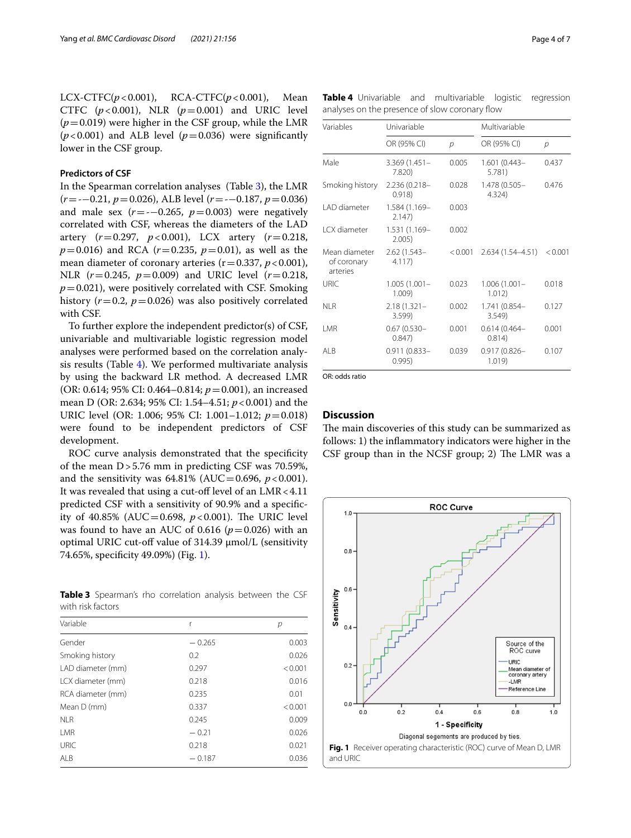LCX-CTFC(*p*<0.001), RCA-CTFC(*p*<0.001), Mean CTFC  $(p<0.001)$ , NLR  $(p=0.001)$  and URIC level  $(p=0.019)$  were higher in the CSF group, while the LMR  $(p<0.001)$  and ALB level  $(p=0.036)$  were significantly lower in the CSF group.

## **Predictors of CSF**

In the Spearman correlation analyses (Table [3](#page-3-0)), the LMR (*r*=-−0.21, *p*=0.026), ALB level (*r*=-−0.187, *p*=0.036) and male sex  $(r=-0.265, p=0.003)$  were negatively correlated with CSF, whereas the diameters of the LAD artery (*r*=0.297, *p*<0.001), LCX artery (*r*=0.218,  $p=0.016$ ) and RCA ( $r=0.235$ ,  $p=0.01$ ), as well as the mean diameter of coronary arteries  $(r=0.337, p<0.001)$ , NLR (*r*=0.245, *p*=0.009) and URIC level (*r*=0.218,  $p=0.021$ ), were positively correlated with CSF. Smoking history  $(r=0.2, p=0.026)$  was also positively correlated with CSF.

To further explore the independent predictor(s) of CSF, univariable and multivariable logistic regression model analyses were performed based on the correlation analysis results (Table [4\)](#page-3-1). We performed multivariate analysis by using the backward LR method. A decreased LMR (OR: 0.614; 95% CI: 0.464–0.814; *p*=0.001), an increased mean D (OR: 2.634; 95% CI: 1.54–4.51; *p*<0.001) and the URIC level (OR: 1.006; 95% CI: 1.001–1.012; *p*=0.018) were found to be independent predictors of CSF development.

ROC curve analysis demonstrated that the specificity of the mean D>5.76 mm in predicting CSF was 70.59%, and the sensitivity was  $64.81\%$  (AUC = 0.696,  $p < 0.001$ ). It was revealed that using a cut-off level of an  $LMR < 4.11$ predicted CSF with a sensitivity of 90.9% and a specifcity of 40.85% (AUC=0.698,  $p < 0.001$ ). The URIC level was found to have an AUC of 0.616 ( $p=0.026$ ) with an optimal URIC cut-of value of 314.39 μmol/L (sensitivity 74.65%, specifcity 49.09%) (Fig. [1\)](#page-3-2).

<span id="page-3-0"></span>**Table 3** Spearman's rho correlation analysis between the CSF with risk factors

| Variable          |          | р       |
|-------------------|----------|---------|
| Gender            | $-0.265$ | 0.003   |
| Smoking history   | 0.2      | 0.026   |
| LAD diameter (mm) | 0.297    | < 0.001 |
| LCX diameter (mm) | 0.218    | 0.016   |
| RCA diameter (mm) | 0.235    | 0.01    |
| Mean D (mm)       | 0.337    | < 0.001 |
| <b>NLR</b>        | 0.245    | 0.009   |
| I MR              | $-0.21$  | 0.026   |
| <b>URIC</b>       | 0.218    | 0.021   |
| ALB               | $-0.187$ | 0.036   |

<span id="page-3-1"></span>

|  |  |                                                |  | Table 4 Univariable and multivariable logistic regression |
|--|--|------------------------------------------------|--|-----------------------------------------------------------|
|  |  | analyses on the presence of slow coronary flow |  |                                                           |

| Variables                                | Univariable               |         | Multivariable             |         |  |
|------------------------------------------|---------------------------|---------|---------------------------|---------|--|
|                                          | OR (95% CI)               | p       | OR (95% CI)               | p       |  |
| Male                                     | $3.369(1.451 -$<br>7.820  | 0.005   | $1.601(0.443 -$<br>5.781) | 0.437   |  |
| Smoking history                          | 2.236 (0.218-<br>0.918    | 0.028   | 1.478 (0.505-<br>4.324)   | 0.476   |  |
| I AD diameter                            | 1.584 (1.169-<br>2.147    | 0.003   |                           |         |  |
| I CX diameter                            | 1.531 (1.169-<br>2.005)   | 0.002   |                           |         |  |
| Mean diameter<br>of coronary<br>arteries | $2.62(1.543 -$<br>4.117)  | < 0.001 | 2.634 (1.54–4.51)         | < 0.001 |  |
| URIC                                     | $1.005(1.001 -$<br>1.009) | 0.023   | $1.006(1.001 -$<br>1.012) | 0.018   |  |
| NI R                                     | $2.18(1.321 -$<br>3.599)  | 0.002   | 1.741 (0.854-<br>3.549    | 0.127   |  |
| I MR                                     | $0.67(0.530 -$<br>0.847   | 0.001   | $0.614(0.464 -$<br>0.814) | 0.001   |  |
| AI B                                     | $0.911(0.833 -$<br>0.995) | 0.039   | $0.917(0.826 -$<br>1.019  | 0.107   |  |

OR: odds ratio

## **Discussion**

The main discoveries of this study can be summarized as follows: 1) the infammatory indicators were higher in the CSF group than in the NCSF group; 2) The LMR was a

<span id="page-3-2"></span>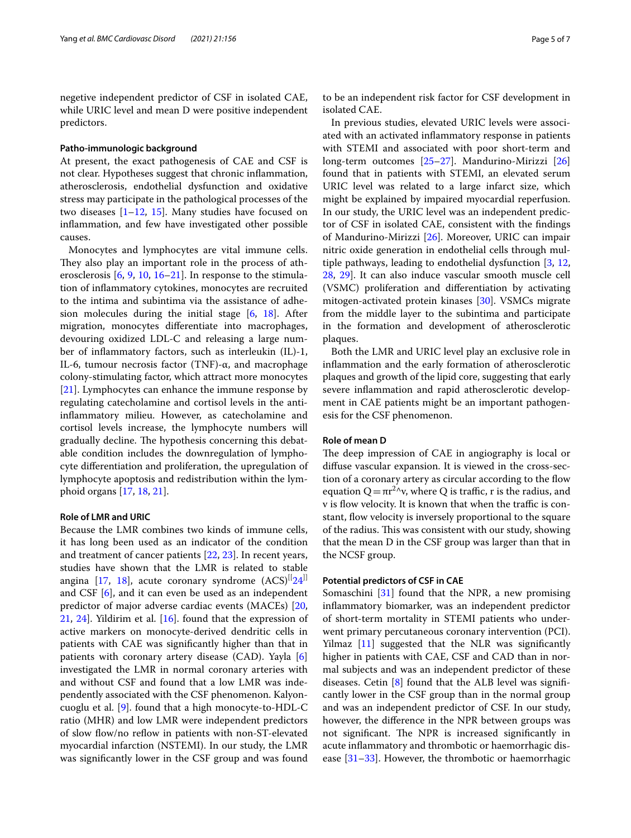negetive independent predictor of CSF in isolated CAE, while URIC level and mean D were positive independent predictors.

#### **Patho‑immunologic background**

At present, the exact pathogenesis of CAE and CSF is not clear. Hypotheses suggest that chronic infammation, atherosclerosis, endothelial dysfunction and oxidative stress may participate in the pathological processes of the two diseases [\[1–](#page-5-0)[12,](#page-5-7) [15\]](#page-6-2). Many studies have focused on infammation, and few have investigated other possible causes.

Monocytes and lymphocytes are vital immune cells. They also play an important role in the process of atherosclerosis [\[6](#page-5-4), [9](#page-5-9), [10](#page-5-10), [16](#page-6-3)[–21\]](#page-6-4). In response to the stimulation of infammatory cytokines, monocytes are recruited to the intima and subintima via the assistance of adhesion molecules during the initial stage [[6,](#page-5-4) [18](#page-6-5)]. After migration, monocytes diferentiate into macrophages, devouring oxidized LDL-C and releasing a large number of infammatory factors, such as interleukin (IL)-1, IL-6, tumour necrosis factor (TNF)-α, and macrophage colony-stimulating factor, which attract more monocytes [[21\]](#page-6-4). Lymphocytes can enhance the immune response by regulating catecholamine and cortisol levels in the antiinfammatory milieu. However, as catecholamine and cortisol levels increase, the lymphocyte numbers will gradually decline. The hypothesis concerning this debatable condition includes the downregulation of lymphocyte diferentiation and proliferation, the upregulation of lymphocyte apoptosis and redistribution within the lymphoid organs [[17](#page-6-6), [18,](#page-6-5) [21](#page-6-4)].

## **Role of LMR and URIC**

Because the LMR combines two kinds of immune cells, it has long been used as an indicator of the condition and treatment of cancer patients [\[22](#page-6-7), [23\]](#page-6-8). In recent years, studies have shown that the LMR is related to stable angina [[17](#page-6-6), [18\]](#page-6-5), acute coronary syndrome  $(ACS)^{1/24}$ and CSF [\[6](#page-5-4)], and it can even be used as an independent predictor of major adverse cardiac events (MACEs) [\[20](#page-6-10), [21,](#page-6-4) [24\]](#page-6-9). Yildirim et al. [[16\]](#page-6-3). found that the expression of active markers on monocyte-derived dendritic cells in patients with CAE was signifcantly higher than that in patients with coronary artery disease (CAD). Yayla [\[6](#page-5-4)] investigated the LMR in normal coronary arteries with and without CSF and found that a low LMR was independently associated with the CSF phenomenon. Kalyoncuoglu et al. [\[9\]](#page-5-9). found that a high monocyte-to-HDL-C ratio (MHR) and low LMR were independent predictors of slow flow/no reflow in patients with non-ST-elevated myocardial infarction (NSTEMI). In our study, the LMR was signifcantly lower in the CSF group and was found to be an independent risk factor for CSF development in isolated CAE.

In previous studies, elevated URIC levels were associated with an activated infammatory response in patients with STEMI and associated with poor short-term and long-term outcomes [[25–](#page-6-11)[27\]](#page-6-12). Mandurino-Mirizzi [[26](#page-6-13)] found that in patients with STEMI, an elevated serum URIC level was related to a large infarct size, which might be explained by impaired myocardial reperfusion. In our study, the URIC level was an independent predictor of CSF in isolated CAE, consistent with the fndings of Mandurino-Mirizzi [\[26\]](#page-6-13). Moreover, URIC can impair nitric oxide generation in endothelial cells through multiple pathways, leading to endothelial dysfunction [\[3](#page-5-1), [12](#page-5-7), [28,](#page-6-14) [29\]](#page-6-15). It can also induce vascular smooth muscle cell (VSMC) proliferation and diferentiation by activating mitogen-activated protein kinases [[30\]](#page-6-16). VSMCs migrate from the middle layer to the subintima and participate in the formation and development of atherosclerotic plaques.

Both the LMR and URIC level play an exclusive role in infammation and the early formation of atherosclerotic plaques and growth of the lipid core, suggesting that early severe infammation and rapid atherosclerotic development in CAE patients might be an important pathogenesis for the CSF phenomenon.

## **Role of mean D**

The deep impression of CAE in angiography is local or difuse vascular expansion. It is viewed in the cross-section of a coronary artery as circular according to the flow equation  $Q = \pi r^{2}$ ν, where Q is traffic, r is the radius, and v is flow velocity. It is known that when the traffic is constant, fow velocity is inversely proportional to the square of the radius. This was consistent with our study, showing that the mean D in the CSF group was larger than that in the NCSF group.

## **Potential predictors of CSF in CAE**

Somaschini [\[31](#page-6-17)] found that the NPR, a new promising infammatory biomarker, was an independent predictor of short-term mortality in STEMI patients who underwent primary percutaneous coronary intervention (PCI). Yilmaz [[11\]](#page-5-8) suggested that the NLR was signifcantly higher in patients with CAE, CSF and CAD than in normal subjects and was an independent predictor of these diseases. Cetin [[8\]](#page-5-6) found that the ALB level was signifcantly lower in the CSF group than in the normal group and was an independent predictor of CSF. In our study, however, the diference in the NPR between groups was not significant. The NPR is increased significantly in acute infammatory and thrombotic or haemorrhagic disease  $[31-33]$  $[31-33]$ . However, the thrombotic or haemorrhagic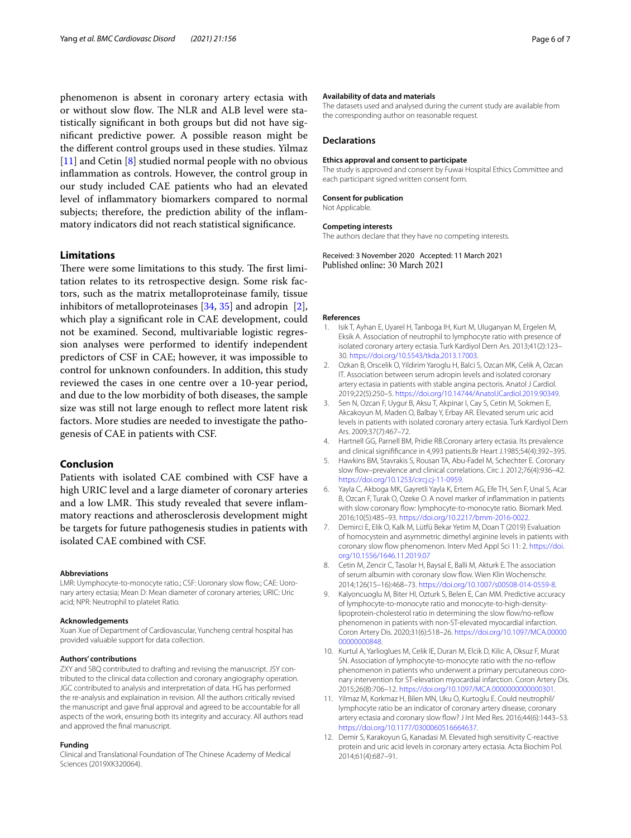phenomenon is absent in coronary artery ectasia with or without slow flow. The NLR and ALB level were statistically signifcant in both groups but did not have signifcant predictive power. A possible reason might be the diferent control groups used in these studies. Yilmaz [[11\]](#page-5-8) and Cetin [[8\]](#page-5-6) studied normal people with no obvious infammation as controls. However, the control group in our study included CAE patients who had an elevated level of infammatory biomarkers compared to normal subjects; therefore, the prediction ability of the infammatory indicators did not reach statistical signifcance.

## **Limitations**

There were some limitations to this study. The first limitation relates to its retrospective design. Some risk factors, such as the matrix metalloproteinase family, tissue inhibitors of metalloproteinases [\[34](#page-6-19), [35\]](#page-6-20) and adropin [\[2](#page-5-11)], which play a signifcant role in CAE development, could not be examined. Second, multivariable logistic regression analyses were performed to identify independent predictors of CSF in CAE; however, it was impossible to control for unknown confounders. In addition, this study reviewed the cases in one centre over a 10-year period, and due to the low morbidity of both diseases, the sample size was still not large enough to refect more latent risk factors. More studies are needed to investigate the pathogenesis of CAE in patients with CSF.

## **Conclusion**

Patients with isolated CAE combined with CSF have a high URIC level and a large diameter of coronary arteries and a low LMR. This study revealed that severe inflammatory reactions and atherosclerosis development might be targets for future pathogenesis studies in patients with isolated CAE combined with CSF.

#### **Abbreviations**

LMR: Uymphocyte-to-monocyte ratio.; CSF: Uoronary slow flow.; CAE: Uoronary artery ectasia; Mean D: Mean diameter of coronary arteries; URIC: Uric acid; NPR: Neutrophil to platelet Ratio.

#### **Acknowledgements**

Xuan Xue of Department of Cardiovascular, Yuncheng central hospital has provided valuable support for data collection.

#### **Authors' contributions**

ZXY and SBQ contributed to drafting and revising the manuscript. JSY contributed to the clinical data collection and coronary angiography operation. JGC contributed to analysis and interpretation of data. HG has performed the re-analysis and explaination in revision. All the authors critically revised the manuscript and gave fnal approval and agreed to be accountable for all aspects of the work, ensuring both its integrity and accuracy. All authors read and approved the fnal manuscript.

#### **Funding**

Clinical and Translational Foundation of The Chinese Academy of Medical Sciences (2019XK320064).

#### **Availability of data and materials**

The datasets used and analysed during the current study are available from the corresponding author on reasonable request.

#### **Declarations**

#### **Ethics approval and consent to participate**

The study is approved and consent by Fuwai Hospital Ethics Committee and each participant signed written consent form.

#### **Consent for publication**

Not Applicable.

#### **Competing interests**

The authors declare that they have no competing interests.

Received: 3 November 2020 Accepted: 11 March 2021

#### **References**

- <span id="page-5-0"></span>1. Isik T, Ayhan E, Uyarel H, Tanboga IH, Kurt M, Uluganyan M, Ergelen M, Eksik A. Association of neutrophil to lymphocyte ratio with presence of isolated coronary artery ectasia. Turk Kardiyol Dern Ars. 2013;41(2):123– 30. <https://doi.org/10.5543/tkda.2013.17003>.
- <span id="page-5-11"></span>2. Ozkan B, Orscelik O, Yildirim Yaroglu H, Balci S, Ozcan MK, Celik A, Ozcan IT. Association between serum adropin levels and isolated coronary artery ectasia in patients with stable angina pectoris. Anatol J Cardiol. 2019;22(5):250–5. [https://doi.org/10.14744/AnatolJCardiol.2019.90349.](https://doi.org/10.14744/AnatolJCardiol.2019.90349)
- <span id="page-5-1"></span>3. Sen N, Ozcan F, Uygur B, Aksu T, Akpinar I, Cay S, Cetin M, Sokmen E, Akcakoyun M, Maden O, Balbay Y, Erbay AR. Elevated serum uric acid levels in patients with isolated coronary artery ectasia. Turk Kardiyol Dern Ars. 2009;37(7):467–72.
- <span id="page-5-2"></span>4. Hartnell GG, Parnell BM, Pridie RB.Coronary artery ectasia. Its prevalence and clinical signiffcance in 4,993 patients.Br Heart J.1985;54(4):392–395.
- <span id="page-5-3"></span>5. Hawkins BM, Stavrakis S, Rousan TA, Abu-Fadel M, Schechter E. Coronary slow fow–prevalence and clinical correlations. Circ J. 2012;76(4):936–42. <https://doi.org/10.1253/circj.cj-11-0959>.
- <span id="page-5-4"></span>6. Yayla C, Akboga MK, Gayretli Yayla K, Ertem AG, Efe TH, Sen F, Unal S, Acar B, Ozcan F, Turak O, Ozeke O. A novel marker of infammation in patients with slow coronary flow: lymphocyte-to-monocyte ratio. Biomark Med. 2016;10(5):485–93. [https://doi.org/10.2217/bmm-2016-0022.](https://doi.org/10.2217/bmm-2016-0022)
- <span id="page-5-5"></span>7. Demirci E, Elik O, Kalk M, Lütfü Bekar Yetim M, Doan T (2019) Evaluation of homocystein and asymmetric dimethyl arginine levels in patients with coronary slow flow phenomenon. Interv Med Appl Sci 11: 2. [https://doi.](https://doi.org/10.1556/1646.11.2019.07) [org/10.1556/1646.11.2019.07](https://doi.org/10.1556/1646.11.2019.07)
- <span id="page-5-6"></span>8. Cetin M, Zencir C, Tasolar H, Baysal E, Balli M, Akturk E. The association of serum albumin with coronary slow fow. Wien Klin Wochenschr. 2014;126(15–16):468–73.<https://doi.org/10.1007/s00508-014-0559-8>.
- <span id="page-5-9"></span>9. Kalyoncuoglu M, Biter HI, Ozturk S, Belen E, Can MM. Predictive accuracy of lymphocyte-to-monocyte ratio and monocyte-to-high-densitylipoprotein-cholesterol ratio in determining the slow flow/no-reflow phenomenon in patients with non-ST-elevated myocardial infarction. Coron Artery Dis. 2020;31(6):518–26. [https://doi.org/10.1097/MCA.00000](https://doi.org/10.1097/MCA.0000000000000848) [00000000848.](https://doi.org/10.1097/MCA.0000000000000848)
- <span id="page-5-10"></span>10. Kurtul A, Yarlioglues M, Celik IE, Duran M, Elcik D, Kilic A, Oksuz F, Murat SN. Association of lymphocyte-to-monocyte ratio with the no-reflow phenomenon in patients who underwent a primary percutaneous coronary intervention for ST-elevation myocardial infarction. Coron Artery Dis. 2015;26(8):706–12. <https://doi.org/10.1097/MCA.0000000000000301>.
- <span id="page-5-8"></span>11. Yilmaz M, Korkmaz H, Bilen MN, Uku O, Kurtoglu E. Could neutrophil/ lymphocyte ratio be an indicator of coronary artery disease, coronary artery ectasia and coronary slow flow? J Int Med Res. 2016;44(6):1443-53. <https://doi.org/10.1177/0300060516664637>.
- <span id="page-5-7"></span>12. Demir S, Karakoyun G, Kanadasi M. Elevated high sensitivity C-reactive protein and uric acid levels in coronary artery ectasia. Acta Biochim Pol. 2014;61(4):687–91.